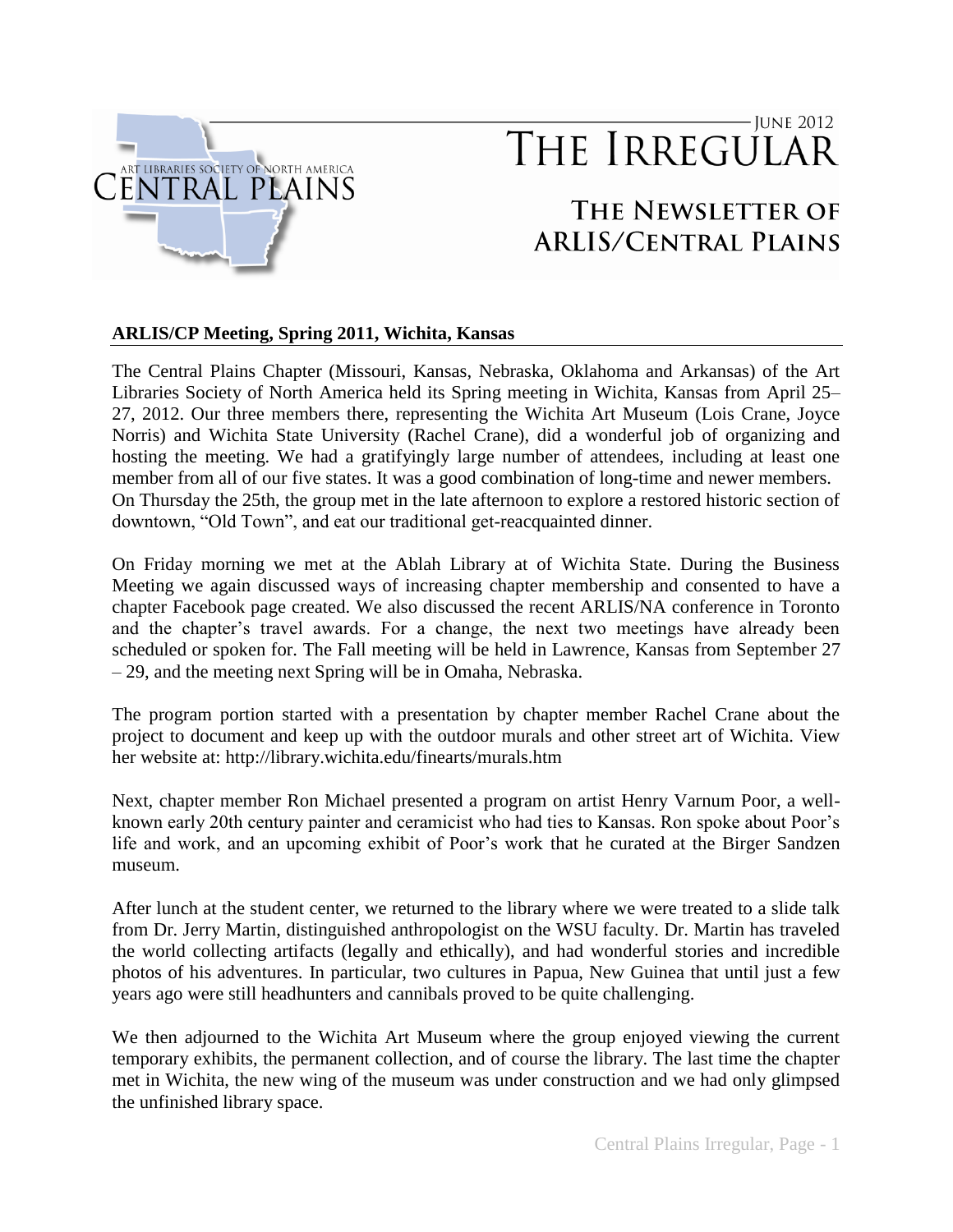

# - June 2012 THE IRREGULAR

# THE NEWSLETTER OF **ARLIS/CENTRAL PLAINS**

## **ARLIS/CP Meeting, Spring 2011, Wichita, Kansas**

The Central Plains Chapter (Missouri, Kansas, Nebraska, Oklahoma and Arkansas) of the Art Libraries Society of North America held its Spring meeting in Wichita, Kansas from April 25– 27, 2012. Our three members there, representing the Wichita Art Museum (Lois Crane, Joyce Norris) and Wichita State University (Rachel Crane), did a wonderful job of organizing and hosting the meeting. We had a gratifyingly large number of attendees, including at least one member from all of our five states. It was a good combination of long-time and newer members. On Thursday the 25th, the group met in the late afternoon to explore a restored historic section of downtown, "Old Town", and eat our traditional get-reacquainted dinner.

On Friday morning we met at the Ablah Library at of Wichita State. During the Business Meeting we again discussed ways of increasing chapter membership and consented to have a chapter Facebook page created. We also discussed the recent ARLIS/NA conference in Toronto and the chapter's travel awards. For a change, the next two meetings have already been scheduled or spoken for. The Fall meeting will be held in Lawrence, Kansas from September 27 – 29, and the meeting next Spring will be in Omaha, Nebraska.

The program portion started with a presentation by chapter member Rachel Crane about the project to document and keep up with the outdoor murals and other street art of Wichita. View her website at: http://library.wichita.edu/finearts/murals.htm

Next, chapter member Ron Michael presented a program on artist Henry Varnum Poor, a wellknown early 20th century painter and ceramicist who had ties to Kansas. Ron spoke about Poor's life and work, and an upcoming exhibit of Poor's work that he curated at the Birger Sandzen museum.

After lunch at the student center, we returned to the library where we were treated to a slide talk from Dr. Jerry Martin, distinguished anthropologist on the WSU faculty. Dr. Martin has traveled the world collecting artifacts (legally and ethically), and had wonderful stories and incredible photos of his adventures. In particular, two cultures in Papua, New Guinea that until just a few years ago were still headhunters and cannibals proved to be quite challenging.

We then adjourned to the Wichita Art Museum where the group enjoyed viewing the current temporary exhibits, the permanent collection, and of course the library. The last time the chapter met in Wichita, the new wing of the museum was under construction and we had only glimpsed the unfinished library space.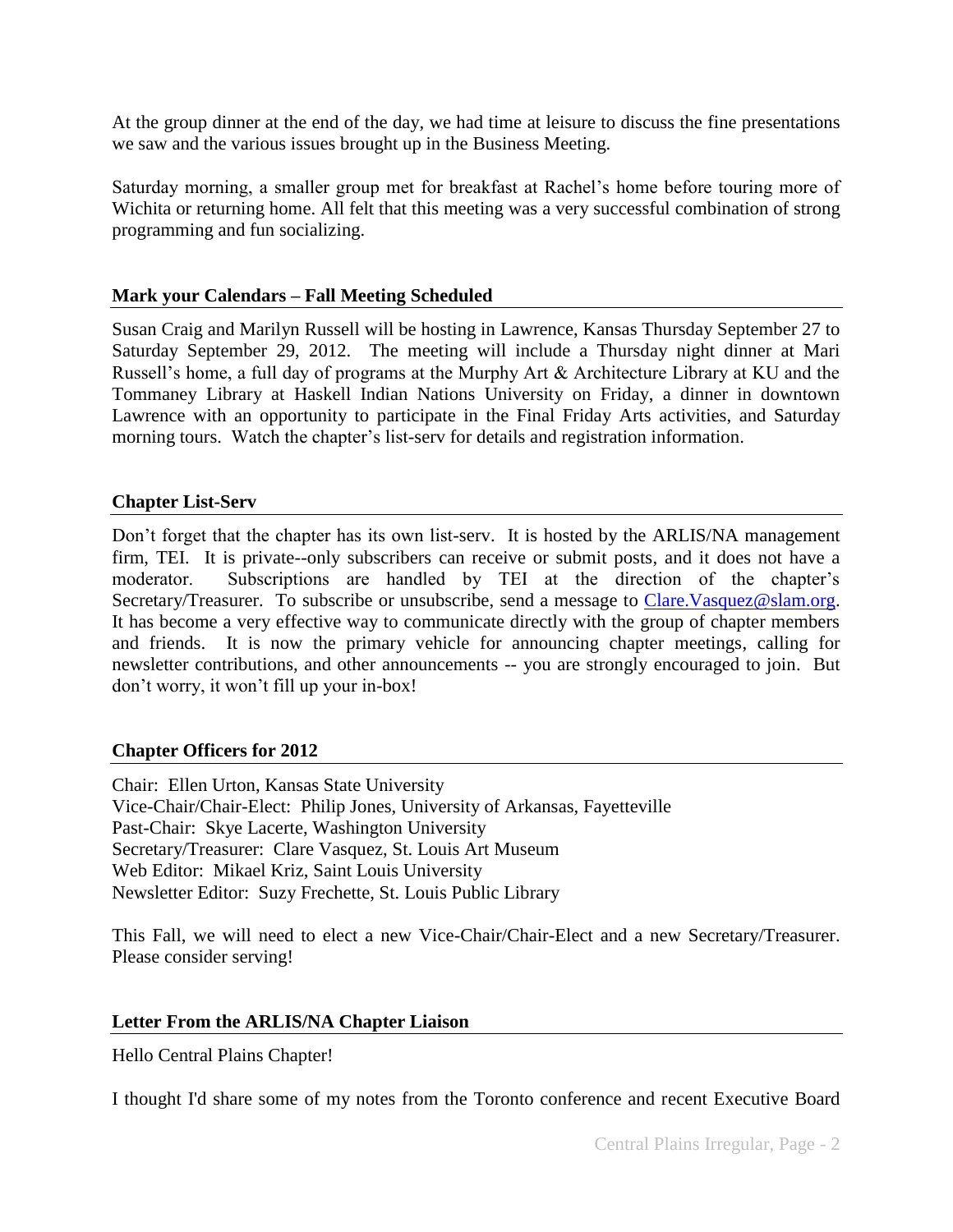At the group dinner at the end of the day, we had time at leisure to discuss the fine presentations we saw and the various issues brought up in the Business Meeting.

Saturday morning, a smaller group met for breakfast at Rachel's home before touring more of Wichita or returning home. All felt that this meeting was a very successful combination of strong programming and fun socializing.

### **Mark your Calendars – Fall Meeting Scheduled**

Susan Craig and Marilyn Russell will be hosting in Lawrence, Kansas Thursday September 27 to Saturday September 29, 2012. The meeting will include a Thursday night dinner at Mari Russell's home, a full day of programs at the Murphy Art & Architecture Library at KU and the Tommaney Library at Haskell Indian Nations University on Friday, a dinner in downtown Lawrence with an opportunity to participate in the Final Friday Arts activities, and Saturday morning tours. Watch the chapter's list-serv for details and registration information.

## **Chapter List-Serv**

Don't forget that the chapter has its own list-serv. It is hosted by the ARLIS/NA management firm, TEI. It is private--only subscribers can receive or submit posts, and it does not have a moderator. Subscriptions are handled by TEI at the direction of the chapter's Secretary/Treasurer. To subscribe or unsubscribe, send a message to Clare. Vasquez@slam.org. It has become a very effective way to communicate directly with the group of chapter members and friends. It is now the primary vehicle for announcing chapter meetings, calling for newsletter contributions, and other announcements -- you are strongly encouraged to join. But don't worry, it won't fill up your in-box!

#### **Chapter Officers for 2012**

Chair: Ellen Urton, Kansas State University Vice-Chair/Chair-Elect: Philip Jones, University of Arkansas, Fayetteville Past-Chair: Skye Lacerte, Washington University Secretary/Treasurer: Clare Vasquez, St. Louis Art Museum Web Editor: Mikael Kriz, Saint Louis University Newsletter Editor: Suzy Frechette, St. Louis Public Library

This Fall, we will need to elect a new Vice-Chair/Chair-Elect and a new Secretary/Treasurer. Please consider serving!

# **Letter From the ARLIS/NA Chapter Liaison**

Hello Central Plains Chapter!

I thought I'd share some of my notes from the Toronto conference and recent Executive Board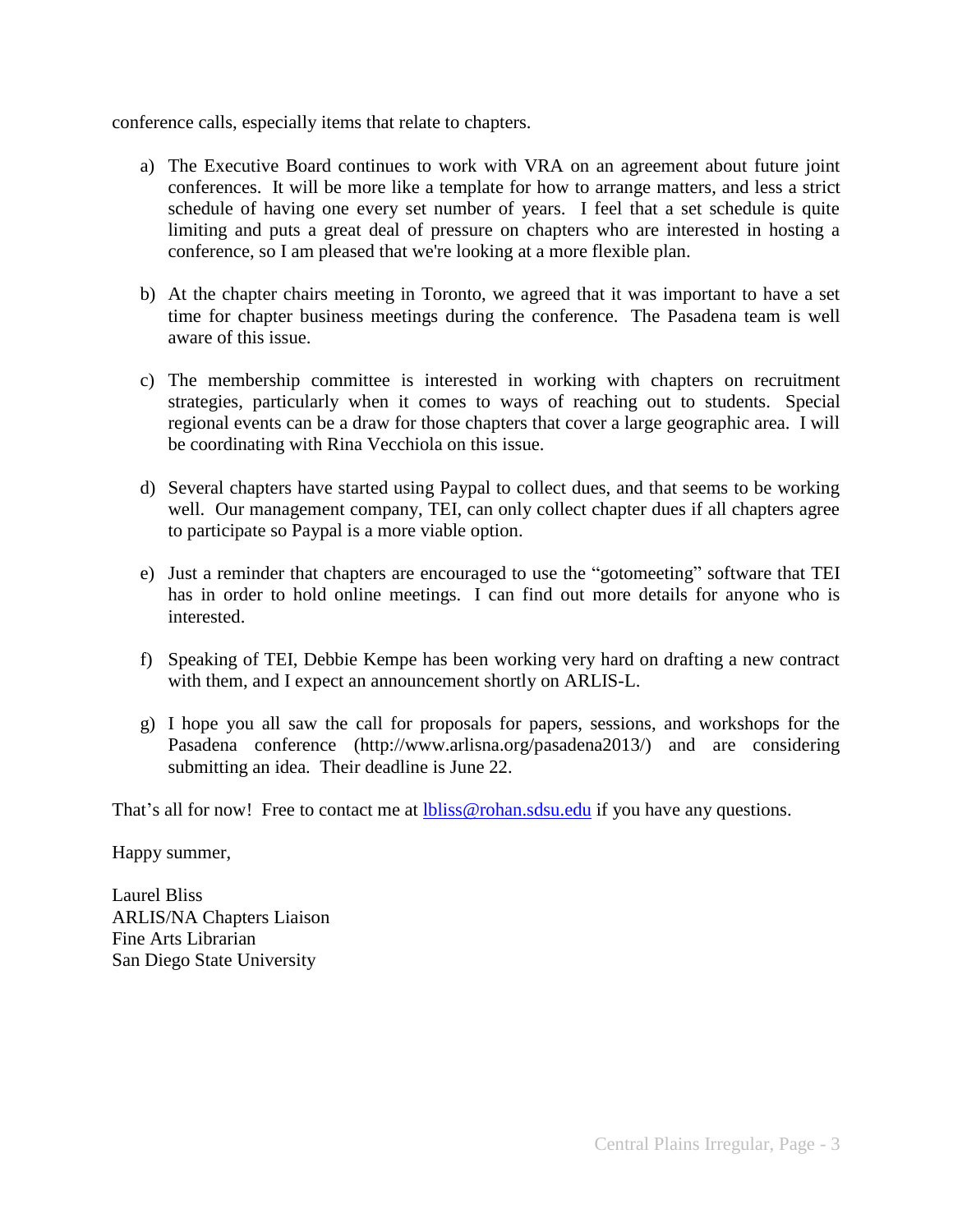conference calls, especially items that relate to chapters.

- a) The Executive Board continues to work with VRA on an agreement about future joint conferences. It will be more like a template for how to arrange matters, and less a strict schedule of having one every set number of years. I feel that a set schedule is quite limiting and puts a great deal of pressure on chapters who are interested in hosting a conference, so I am pleased that we're looking at a more flexible plan.
- b) At the chapter chairs meeting in Toronto, we agreed that it was important to have a set time for chapter business meetings during the conference. The Pasadena team is well aware of this issue.
- c) The membership committee is interested in working with chapters on recruitment strategies, particularly when it comes to ways of reaching out to students. Special regional events can be a draw for those chapters that cover a large geographic area. I will be coordinating with Rina Vecchiola on this issue.
- d) Several chapters have started using Paypal to collect dues, and that seems to be working well. Our management company, TEI, can only collect chapter dues if all chapters agree to participate so Paypal is a more viable option.
- e) Just a reminder that chapters are encouraged to use the "gotomeeting" software that TEI has in order to hold online meetings. I can find out more details for anyone who is interested.
- f) Speaking of TEI, Debbie Kempe has been working very hard on drafting a new contract with them, and I expect an announcement shortly on ARLIS-L.
- g) I hope you all saw the call for proposals for papers, sessions, and workshops for the Pasadena conference (http://www.arlisna.org/pasadena2013/) and are considering submitting an idea. Their deadline is June 22.

That's all for now! Free to contact me at [lbliss@rohan.sdsu.edu](mailto:lbliss@rohan.sdsu.edu) if you have any questions.

Happy summer,

Laurel Bliss ARLIS/NA Chapters Liaison Fine Arts Librarian San Diego State University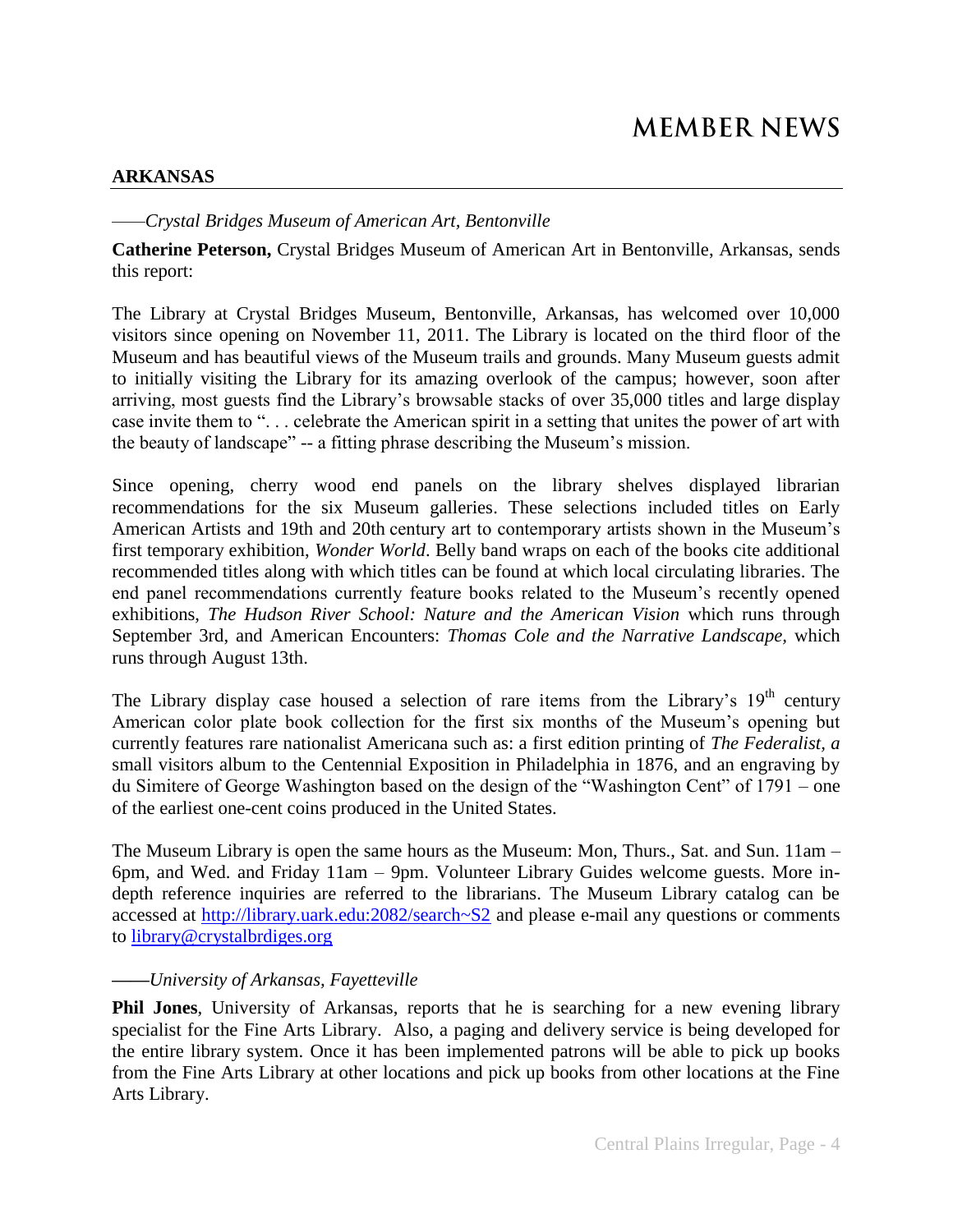#### **ARKANSAS**

*——Crystal Bridges Museum of American Art, Bentonville*

**Catherine Peterson,** Crystal Bridges Museum of American Art in Bentonville, Arkansas, sends this report:

The Library at Crystal Bridges Museum, Bentonville, Arkansas, has welcomed over 10,000 visitors since opening on November 11, 2011. The Library is located on the third floor of the Museum and has beautiful views of the Museum trails and grounds. Many Museum guests admit to initially visiting the Library for its amazing overlook of the campus; however, soon after arriving, most guests find the Library's browsable stacks of over 35,000 titles and large display case invite them to "... celebrate the American spirit in a setting that unites the power of art with the beauty of landscape" -- a fitting phrase describing the Museum's mission.

Since opening, cherry wood end panels on the library shelves displayed librarian recommendations for the six Museum galleries. These selections included titles on Early American Artists and 19th and 20th century art to contemporary artists shown in the Museum's first temporary exhibition, *Wonder World*. Belly band wraps on each of the books cite additional recommended titles along with which titles can be found at which local circulating libraries. The end panel recommendations currently feature books related to the Museum's recently opened exhibitions, *The Hudson River School: Nature and the American Vision* which runs through September 3rd, and American Encounters: *Thomas Cole and the Narrative Landscape,* which runs through August 13th.

The Library display case housed a selection of rare items from the Library's  $19<sup>th</sup>$  century American color plate book collection for the first six months of the Museum's opening but currently features rare nationalist Americana such as: a first edition printing of *The Federalist, a* small visitors album to the Centennial Exposition in Philadelphia in 1876, and an engraving by du Simitere of George Washington based on the design of the "Washington Cent" of 1791 – one of the earliest one-cent coins produced in the United States.

The Museum Library is open the same hours as the Museum: Mon, Thurs., Sat. and Sun. 11am – 6pm, and Wed. and Friday 11am – 9pm. Volunteer Library Guides welcome guests. More indepth reference inquiries are referred to the librarians. The Museum Library catalog can be accessed at<http://library.uark.edu:2082/search~S2> and please e-mail any questions or comments to [library@crystalbrdiges.org](mailto:library@crystalbrdiges.org)

#### *——University of Arkansas, Fayetteville*

**Phil Jones**, University of Arkansas, reports that he is searching for a new evening library specialist for the Fine Arts Library. Also, a paging and delivery service is being developed for the entire library system. Once it has been implemented patrons will be able to pick up books from the Fine Arts Library at other locations and pick up books from other locations at the Fine Arts Library.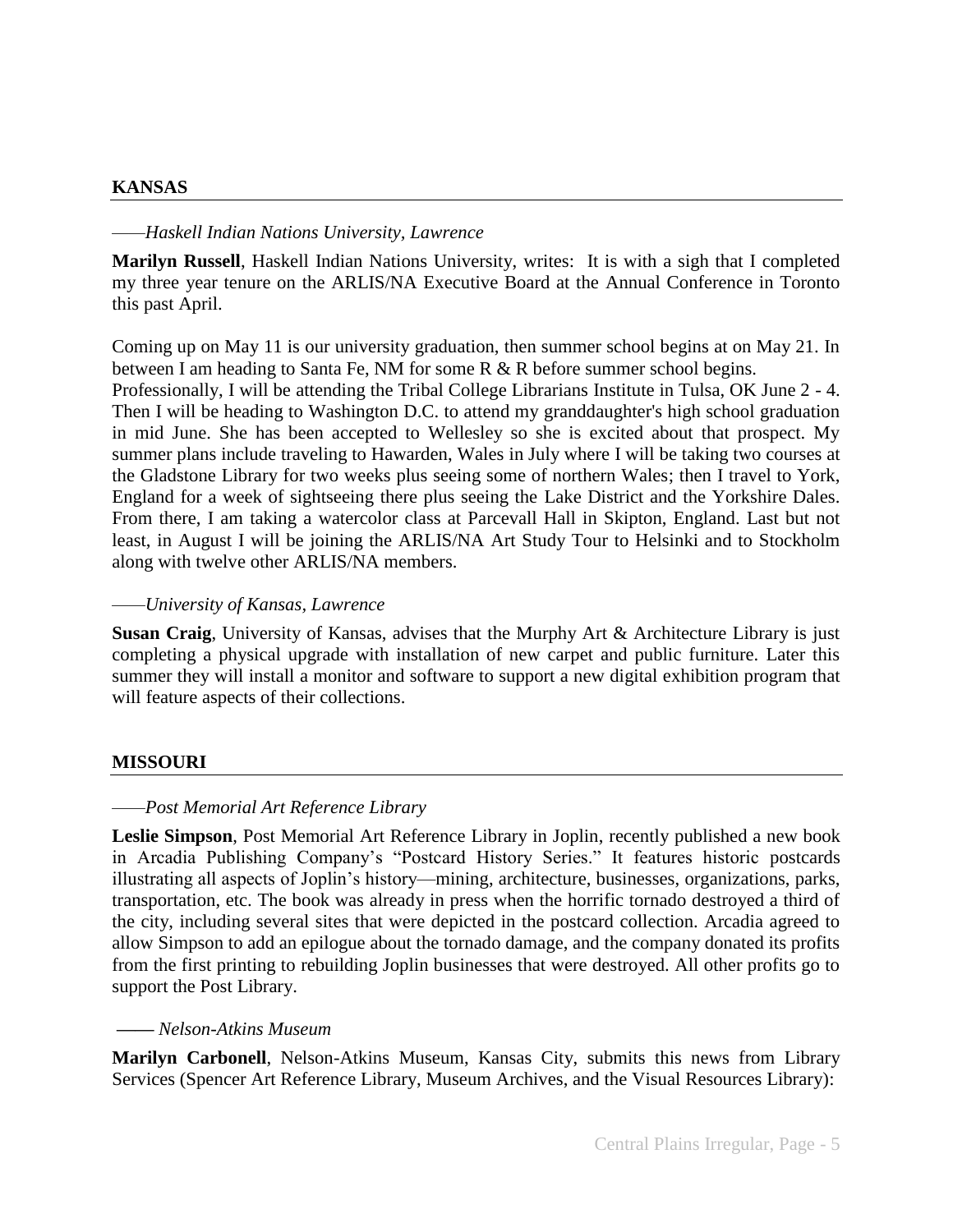#### **KANSAS**

#### *——Haskell Indian Nations University, Lawrence*

**Marilyn Russell**, Haskell Indian Nations University, writes: It is with a sigh that I completed my three year tenure on the ARLIS/NA Executive Board at the Annual Conference in Toronto this past April.

Coming up on May 11 is our university graduation, then summer school begins at on May 21. In between I am heading to Santa Fe, NM for some R & R before summer school begins. Professionally, I will be attending the Tribal College Librarians Institute in Tulsa, OK June 2 - 4. Then I will be heading to Washington D.C. to attend my granddaughter's high school graduation in mid June. She has been accepted to Wellesley so she is excited about that prospect. My summer plans include traveling to Hawarden, Wales in July where I will be taking two courses at the Gladstone Library for two weeks plus seeing some of northern Wales; then I travel to York, England for a week of sightseeing there plus seeing the Lake District and the Yorkshire Dales. From there, I am taking a watercolor class at Parcevall Hall in Skipton, England. Last but not least, in August I will be joining the ARLIS/NA Art Study Tour to Helsinki and to Stockholm along with twelve other ARLIS/NA members.

#### *——University of Kansas, Lawrence*

**Susan Craig**, University of Kansas, advises that the Murphy Art & Architecture Library is just completing a physical upgrade with installation of new carpet and public furniture. Later this summer they will install a monitor and software to support a new digital exhibition program that will feature aspects of their collections.

#### **MISSOURI**

#### *——Post Memorial Art Reference Library*

**Leslie Simpson**, Post Memorial Art Reference Library in Joplin, recently published a new book in Arcadia Publishing Company's "Postcard History Series." It features historic postcards illustrating all aspects of Joplin's history—mining, architecture, businesses, organizations, parks, transportation, etc. The book was already in press when the horrific tornado destroyed a third of the city, including several sites that were depicted in the postcard collection. Arcadia agreed to allow Simpson to add an epilogue about the tornado damage, and the company donated its profits from the first printing to rebuilding Joplin businesses that were destroyed. All other profits go to support the Post Library.

#### *—— Nelson-Atkins Museum*

**Marilyn Carbonell**, Nelson-Atkins Museum, Kansas City, submits this news from Library Services (Spencer Art Reference Library, Museum Archives, and the Visual Resources Library):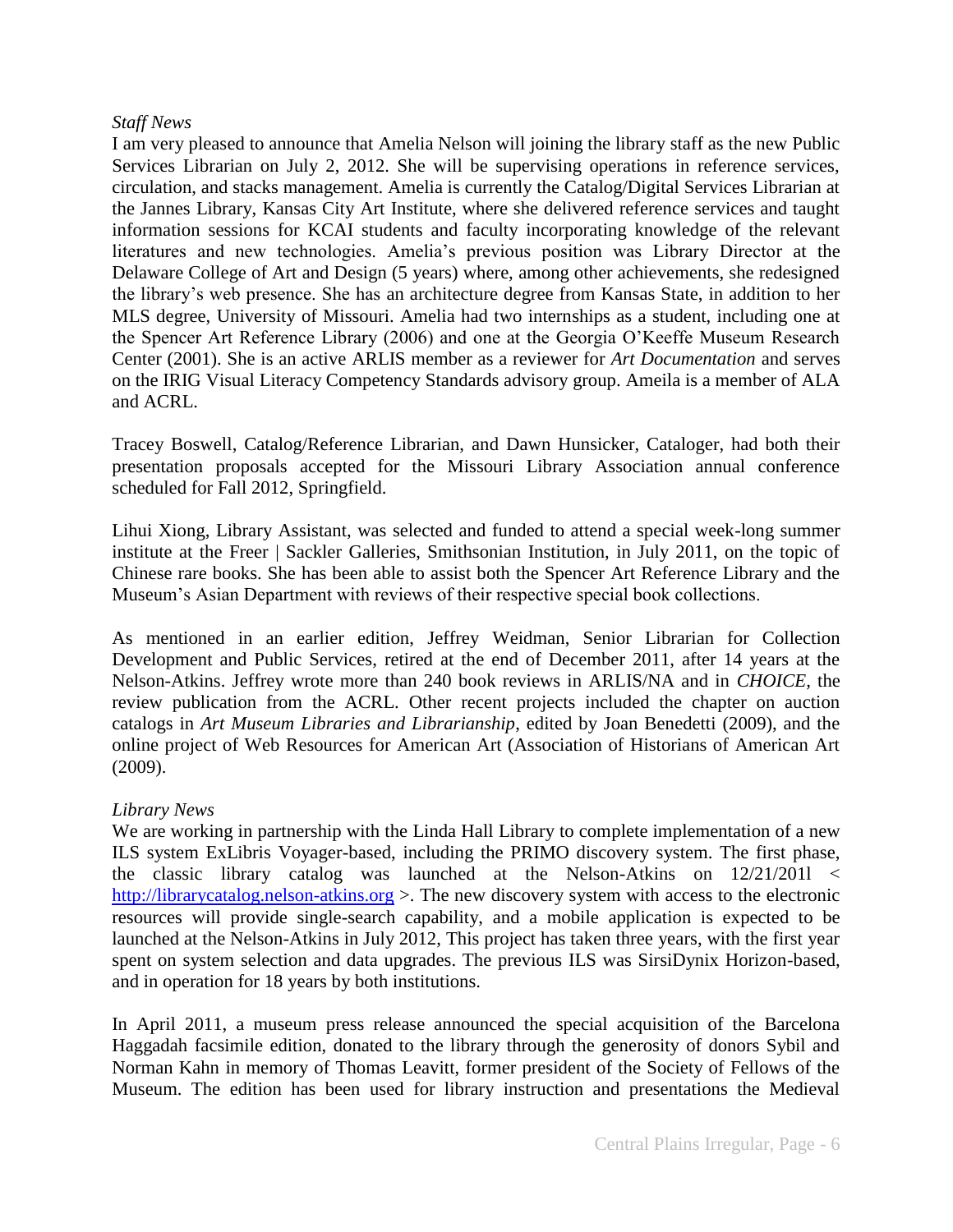#### *Staff News*

I am very pleased to announce that Amelia Nelson will joining the library staff as the new Public Services Librarian on July 2, 2012. She will be supervising operations in reference services, circulation, and stacks management. Amelia is currently the Catalog/Digital Services Librarian at the Jannes Library, Kansas City Art Institute, where she delivered reference services and taught information sessions for KCAI students and faculty incorporating knowledge of the relevant literatures and new technologies. Amelia's previous position was Library Director at the Delaware College of Art and Design (5 years) where, among other achievements, she redesigned the library's web presence. She has an architecture degree from Kansas State, in addition to her MLS degree, University of Missouri. Amelia had two internships as a student, including one at the Spencer Art Reference Library (2006) and one at the Georgia O'Keeffe Museum Research Center (2001). She is an active ARLIS member as a reviewer for *Art Documentation* and serves on the IRIG Visual Literacy Competency Standards advisory group. Ameila is a member of ALA and ACRL.

Tracey Boswell, Catalog/Reference Librarian, and Dawn Hunsicker, Cataloger, had both their presentation proposals accepted for the Missouri Library Association annual conference scheduled for Fall 2012, Springfield.

Lihui Xiong, Library Assistant, was selected and funded to attend a special week-long summer institute at the Freer | Sackler Galleries, Smithsonian Institution, in July 2011, on the topic of Chinese rare books. She has been able to assist both the Spencer Art Reference Library and the Museum's Asian Department with reviews of their respective special book collections.

As mentioned in an earlier edition, Jeffrey Weidman, Senior Librarian for Collection Development and Public Services, retired at the end of December 2011, after 14 years at the Nelson-Atkins. Jeffrey wrote more than 240 book reviews in ARLIS/NA and in *CHOICE,* the review publication from the ACRL. Other recent projects included the chapter on auction catalogs in *Art Museum Libraries and Librarianship*, edited by Joan Benedetti (2009), and the online project of Web Resources for American Art (Association of Historians of American Art (2009).

#### *Library News*

We are working in partnership with the Linda Hall Library to complete implementation of a new ILS system ExLibris Voyager-based, including the PRIMO discovery system. The first phase, the classic library catalog was launched at the Nelson-Atkins on 12/21/201l < [http://librarycatalog.nelson-atkins.org](http://librarycatalog.nelson-atkins.org/) >. The new discovery system with access to the electronic resources will provide single-search capability, and a mobile application is expected to be launched at the Nelson-Atkins in July 2012, This project has taken three years, with the first year spent on system selection and data upgrades. The previous ILS was SirsiDynix Horizon-based, and in operation for 18 years by both institutions.

In April 2011, a museum press release announced the special acquisition of the Barcelona Haggadah facsimile edition, donated to the library through the generosity of donors Sybil and Norman Kahn in memory of Thomas Leavitt, former president of the Society of Fellows of the Museum. The edition has been used for library instruction and presentations the Medieval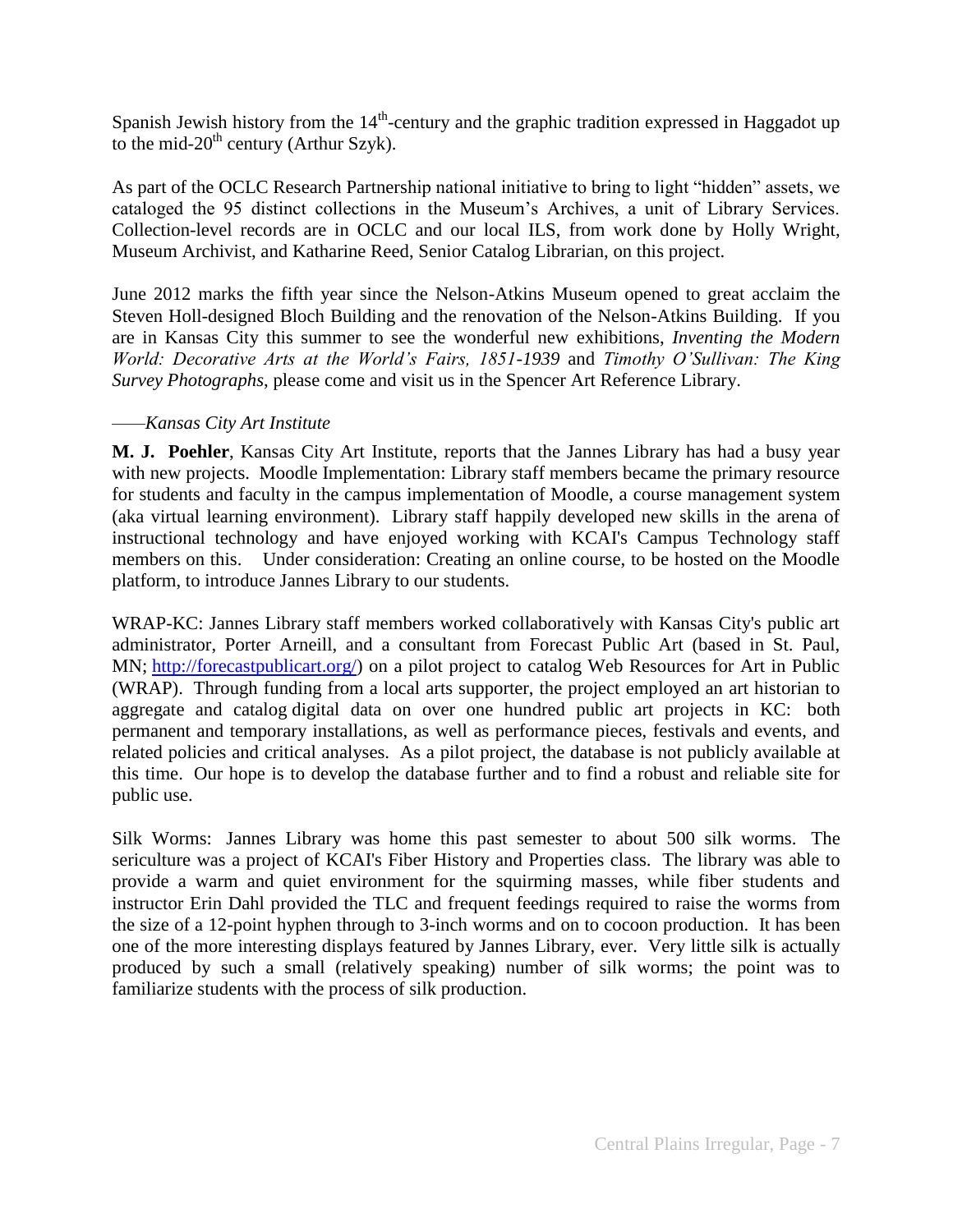Spanish Jewish history from the  $14<sup>th</sup>$ -century and the graphic tradition expressed in Haggadot up to the mid- $20^{th}$  century (Arthur Szyk).

As part of the OCLC Research Partnership national initiative to bring to light "hidden" assets, we cataloged the 95 distinct collections in the Museum's Archives, a unit of Library Services. Collection-level records are in OCLC and our local ILS, from work done by Holly Wright, Museum Archivist, and Katharine Reed, Senior Catalog Librarian, on this project.

June 2012 marks the fifth year since the Nelson-Atkins Museum opened to great acclaim the Steven Holl-designed Bloch Building and the renovation of the Nelson-Atkins Building. If you are in Kansas City this summer to see the wonderful new exhibitions, *Inventing the Modern World: Decorative Arts at the World's Fairs, 1851-1939* and *Timothy O'Sullivan: The King Survey Photographs*, please come and visit us in the Spencer Art Reference Library.

## *——Kansas City Art Institute*

**M. J. Poehler**, Kansas City Art Institute, reports that the Jannes Library has had a busy year with new projects. Moodle Implementation: Library staff members became the primary resource for students and faculty in the campus implementation of Moodle, a course management system (aka virtual learning environment). Library staff happily developed new skills in the arena of instructional technology and have enjoyed working with KCAI's Campus Technology staff members on this. Under consideration: Creating an online course, to be hosted on the Moodle platform, to introduce Jannes Library to our students.

WRAP-KC: Jannes Library staff members worked collaboratively with Kansas City's public art administrator, Porter Arneill, and a consultant from Forecast Public Art (based in St. Paul, MN; [http://forecastpublicart.org/\)](http://forecastpublicart.org/) on a pilot project to catalog Web Resources for Art in Public (WRAP). Through funding from a local arts supporter, the project employed an art historian to aggregate and catalog digital data on over one hundred public art projects in KC: both permanent and temporary installations, as well as performance pieces, festivals and events, and related policies and critical analyses. As a pilot project, the database is not publicly available at this time. Our hope is to develop the database further and to find a robust and reliable site for public use.

Silk Worms: Jannes Library was home this past semester to about 500 silk worms. The sericulture was a project of KCAI's Fiber History and Properties class. The library was able to provide a warm and quiet environment for the squirming masses, while fiber students and instructor Erin Dahl provided the TLC and frequent feedings required to raise the worms from the size of a 12-point hyphen through to 3-inch worms and on to cocoon production. It has been one of the more interesting displays featured by Jannes Library, ever. Very little silk is actually produced by such a small (relatively speaking) number of silk worms; the point was to familiarize students with the process of silk production.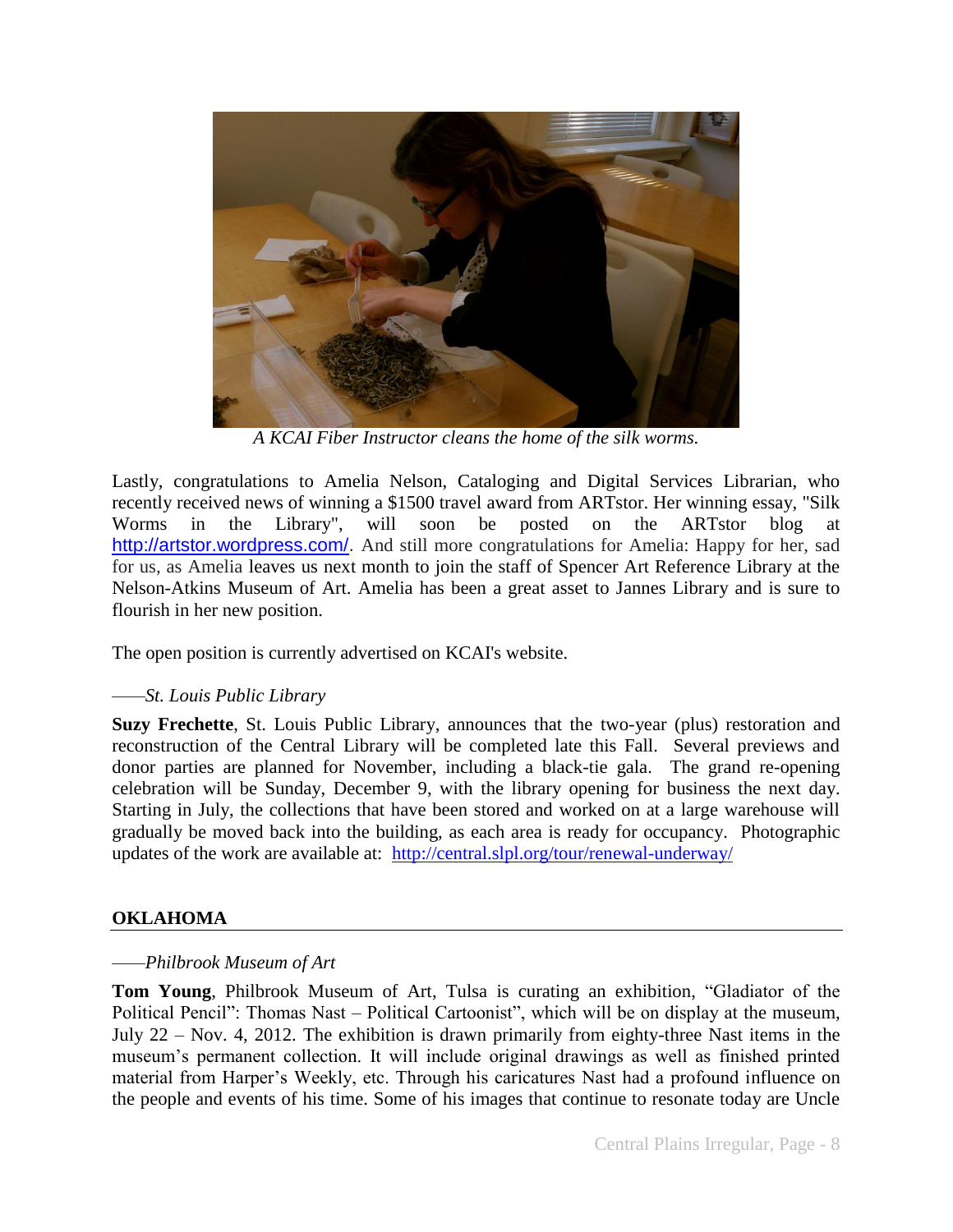

*A KCAI Fiber Instructor cleans the home of the silk worms.*

Lastly, congratulations to Amelia Nelson, Cataloging and Digital Services Librarian, who recently received news of winning a \$1500 travel award from ARTstor. Her winning essay, "Silk Worms in the Library", will soon be posted on the ARTstor blog at [http://artstor.wordpress.com/.](http://artstor.wordpress.com/) And still more congratulations for Amelia: Happy for her, sad for us, as Amelia leaves us next month to join the staff of Spencer Art Reference Library at the Nelson-Atkins Museum of Art. Amelia has been a great asset to Jannes Library and is sure to flourish in her new position.

The open position is currently advertised on KCAI's website.

# *——St. Louis Public Library*

**Suzy Frechette**, St. Louis Public Library, announces that the two-year (plus) restoration and reconstruction of the Central Library will be completed late this Fall. Several previews and donor parties are planned for November, including a black-tie gala. The grand re-opening celebration will be Sunday, December 9, with the library opening for business the next day. Starting in July, the collections that have been stored and worked on at a large warehouse will gradually be moved back into the building, as each area is ready for occupancy. Photographic updates of the work are available at: <http://central.slpl.org/tour/renewal-underway/>

# **OKLAHOMA**

#### *——Philbrook Museum of Art*

**Tom Young**, Philbrook Museum of Art, Tulsa is curating an exhibition, "Gladiator of the Political Pencil": Thomas Nast – Political Cartoonist", which will be on display at the museum, July 22 – Nov. 4, 2012. The exhibition is drawn primarily from eighty-three Nast items in the museum's permanent collection. It will include original drawings as well as finished printed material from Harper's Weekly, etc. Through his caricatures Nast had a profound influence on the people and events of his time. Some of his images that continue to resonate today are Uncle